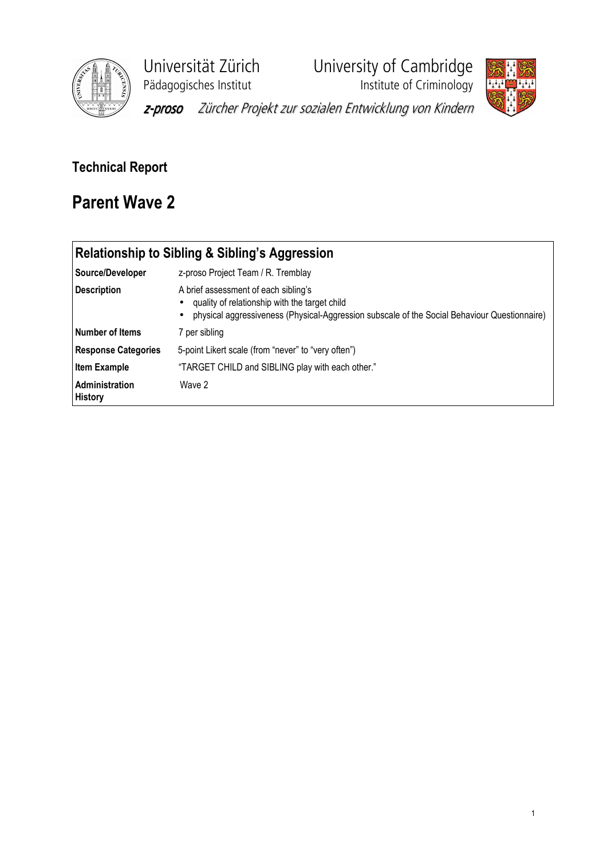

Universität Zürich<br>
Pädagogisches Institut<br>
Institute of Criminology

**Phagagogisches**<br>Institute of Criminology



z-proso Zürcher Projekt zur sozialen Entwicklung von Kindern

## Technical Report

## Parent Wave 2

| <b>Relationship to Sibling &amp; Sibling's Aggression</b> |                                                                                                                                                                                       |  |  |  |  |  |  |  |
|-----------------------------------------------------------|---------------------------------------------------------------------------------------------------------------------------------------------------------------------------------------|--|--|--|--|--|--|--|
| Source/Developer                                          | z-proso Project Team / R. Tremblay                                                                                                                                                    |  |  |  |  |  |  |  |
| <b>Description</b>                                        | A brief assessment of each sibling's<br>quality of relationship with the target child<br>physical aggressiveness (Physical-Aggression subscale of the Social Behaviour Questionnaire) |  |  |  |  |  |  |  |
| l Number of Items                                         | 7 per sibling                                                                                                                                                                         |  |  |  |  |  |  |  |
| <b>Response Categories</b>                                | 5-point Likert scale (from "never" to "very often")                                                                                                                                   |  |  |  |  |  |  |  |
| <b>Item Example</b>                                       | "TARGET CHILD and SIBLING play with each other."                                                                                                                                      |  |  |  |  |  |  |  |
| Administration<br><b>History</b>                          | Wave 2                                                                                                                                                                                |  |  |  |  |  |  |  |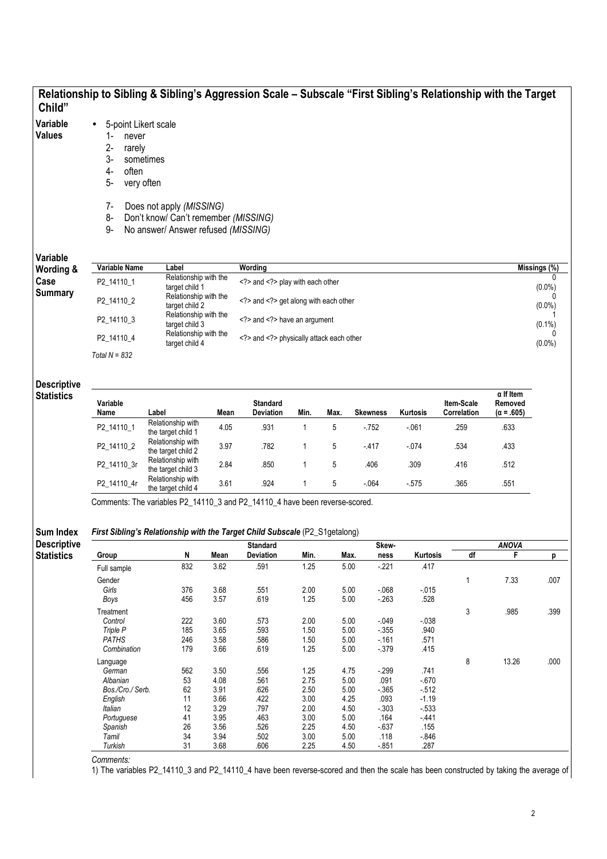|                                        |                                                                                                                                | Relationship to Sibling & Sibling's Aggression Scale - Subscale "First Sibling's Relationship with the Target                                              |                                         |                                  |              |                               |                      |                |                           |                                                  |                        |  |  |
|----------------------------------------|--------------------------------------------------------------------------------------------------------------------------------|------------------------------------------------------------------------------------------------------------------------------------------------------------|-----------------------------------------|----------------------------------|--------------|-------------------------------|----------------------|----------------|---------------------------|--------------------------------------------------|------------------------|--|--|
| Child"<br>Variable<br><b>Values</b>    | 5-point Likert scale<br>$\bullet$<br>1-<br>never<br>$2-$<br>rarely<br>3-<br>sometimes<br>4-<br>often<br>5-<br>very often<br>7- | Does not apply (MISSING)                                                                                                                                   |                                         |                                  |              |                               |                      |                |                           |                                                  |                        |  |  |
|                                        | 8-<br>9-                                                                                                                       | Don't know/ Can't remember (MISSING)<br>No answer/ Answer refused (MISSING)                                                                                |                                         |                                  |              |                               |                      |                |                           |                                                  |                        |  |  |
| Variable                               |                                                                                                                                |                                                                                                                                                            |                                         |                                  |              |                               |                      |                |                           |                                                  |                        |  |  |
| Wording &                              | Variable Name                                                                                                                  | Label                                                                                                                                                      |                                         | Wording                          |              |                               |                      |                |                           |                                                  | Missings (%)           |  |  |
| Case                                   | P2_14110_1                                                                                                                     | Relationship with the                                                                                                                                      |                                         | and play with each other         |              |                               |                      |                |                           |                                                  | 0                      |  |  |
| <b>Summary</b>                         | P2_14110_2                                                                                                                     | target child 2                                                                                                                                             | target child 1<br>Relationship with the |                                  |              | and get along with each other |                      |                |                           |                                                  | $(0.0\%)$<br>$(0.0\%)$ |  |  |
|                                        | P2_14110_3                                                                                                                     | Relationship with the<br>target child 3                                                                                                                    |                                         | and have an argument             |              |                               |                      |                |                           |                                                  | $(0.1\%)$              |  |  |
|                                        | P2_14110_4                                                                                                                     | Relationship with the<br>target child 4                                                                                                                    |                                         | and physically attack each other |              |                               |                      |                |                           |                                                  |                        |  |  |
|                                        | Total $N = 832$                                                                                                                |                                                                                                                                                            |                                         |                                  |              |                               |                      |                |                           |                                                  | $(0.0\%)$              |  |  |
| <b>Descriptive</b>                     |                                                                                                                                |                                                                                                                                                            |                                         |                                  |              |                               |                      |                |                           |                                                  |                        |  |  |
| <b>Statistics</b>                      | Variable<br>Name                                                                                                               | Label                                                                                                                                                      | Mean                                    | <b>Standard</b><br>Deviation     | Min.         | Max.                          | <b>Skewness</b>      | Kurtosis       | Item-Scale<br>Correlation | $\alpha$ If Item<br>Removed<br>$(\alpha = .605)$ |                        |  |  |
|                                        | P2_14110_1                                                                                                                     | Relationship with                                                                                                                                          | 4.05                                    | .931                             | $\mathbf{1}$ | 5                             | - 752                | $-061$         | .259                      | .633                                             |                        |  |  |
|                                        | P2_14110_2                                                                                                                     | the target child 1<br>Relationship with<br>the target child 2                                                                                              | 3.97                                    | .782                             | 1            | 5                             | $-417$               | $-074$         | .534                      | .433                                             |                        |  |  |
|                                        | P2_14110_3r                                                                                                                    | Relationship with<br>the target child 3                                                                                                                    | 2.84                                    | .850                             | 1            | 5                             | .406                 | .309           | .416                      | .512                                             |                        |  |  |
|                                        | P2_14110_4r                                                                                                                    | Relationship with<br>the target child 4                                                                                                                    | 3.61                                    | .924                             | $\mathbf{1}$ | 5                             | - 064                | $-575$         | .365                      | .551                                             |                        |  |  |
| <b>Sum Index</b><br><b>Descriptive</b> |                                                                                                                                | Comments: The variables P2_14110_3 and P2_14110_4 have been reverse-scored.<br>First Sibling's Relationship with the Target Child Subscale (P2_S1getalong) |                                         | <b>Standard</b>                  |              |                               | Skew-                |                |                           | <b>ANOVA</b>                                     |                        |  |  |
| <b>Statistics</b>                      | Group                                                                                                                          | N                                                                                                                                                          | Mean                                    | Deviation                        | Min.         | Max.                          | ness                 | Kurtosis       | df                        | F                                                | p                      |  |  |
|                                        | Full sample                                                                                                                    | 832                                                                                                                                                        | 3.62                                    | .591                             | 1.25         | 5.00                          | $-221$               | .417           |                           |                                                  |                        |  |  |
|                                        | Gender                                                                                                                         |                                                                                                                                                            |                                         |                                  |              |                               |                      |                | 1                         | 7.33                                             | .007                   |  |  |
|                                        | Girls                                                                                                                          | 376                                                                                                                                                        | 3.68                                    | .551                             | 2.00         | 5.00                          | $-068$               | $-0.15$        |                           |                                                  |                        |  |  |
|                                        | Boys                                                                                                                           | 456                                                                                                                                                        | 3.57                                    | .619                             | 1.25         | 5.00                          | $-263$               | .528           |                           |                                                  |                        |  |  |
|                                        | Treatment                                                                                                                      |                                                                                                                                                            |                                         |                                  |              |                               |                      |                | 3                         | .985                                             | .399                   |  |  |
|                                        | Control<br>Triple P                                                                                                            | 222<br>185                                                                                                                                                 | 3.60<br>3.65                            | .573<br>.593                     | 2.00<br>1.50 | 5.00<br>5.00                  | $-0.049$<br>$-0.355$ | $-038$<br>.940 |                           |                                                  |                        |  |  |
|                                        | <b>PATHS</b>                                                                                                                   | 246                                                                                                                                                        | 3.58                                    | .586                             | 1.50         | 5.00                          | $-161$               | .571           |                           |                                                  |                        |  |  |
|                                        | Combination                                                                                                                    | 179                                                                                                                                                        | 3.66                                    | .619                             | 1.25         | 5.00                          | $-379$               | .415           |                           |                                                  |                        |  |  |
|                                        | Language                                                                                                                       |                                                                                                                                                            |                                         |                                  |              |                               |                      |                | 8                         | 13.26                                            | .000                   |  |  |
|                                        | German                                                                                                                         | 562                                                                                                                                                        | 3.50                                    | .556                             | 1.25         | 4.75                          | $-299$               | .741           |                           |                                                  |                        |  |  |
|                                        | Albanian                                                                                                                       | 53                                                                                                                                                         | 4.08                                    | .561                             | 2.75         | $5.00$                        | .091                 | $-670$         |                           |                                                  |                        |  |  |
|                                        | Bos./Cro./ Serb.                                                                                                               | 62                                                                                                                                                         | 3.91                                    | .626                             | 2.50         | 5.00                          | $-365$               | $-512$         |                           |                                                  |                        |  |  |
|                                        | English                                                                                                                        | 11                                                                                                                                                         | 3.66                                    | .422                             | 3.00         | 4.25                          | .093                 | $-1.19$        |                           |                                                  |                        |  |  |
|                                        | Italian                                                                                                                        | 12                                                                                                                                                         | 3.29                                    | .797                             | 2.00         | 4.50                          | $-0.303$             | $-533$         |                           |                                                  |                        |  |  |

Comments:

1) The variables P2\_14110\_3 and P2\_14110\_4 have been reverse-scored and then the scale has been constructed by taking the average of

Portuguese 41 3.95 .463 3.00 5.00 .164 -.441 Spanish 26 3.56 .526 2.25 4.50 -.637 .155 Tamil 34 3.94 .502 3.00 5.00 .118 -.846 Turkish 31 3.68 .606 2.25 4.50 -.851 .287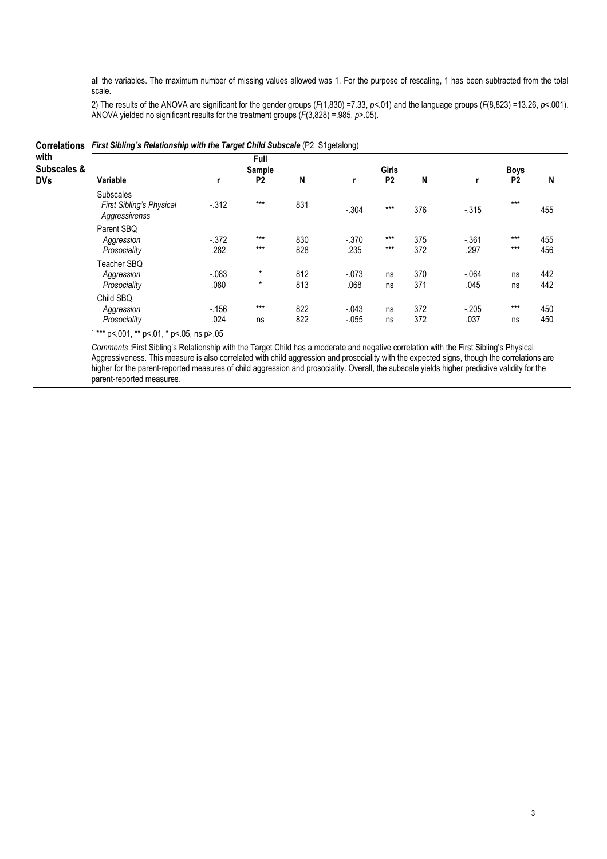all the variables. The maximum number of missing values allowed was 1. For the purpose of rescaling, 1 has been subtracted from the total scale.

2) The results of the ANOVA are significant for the gender groups (F(1,830) =7.33, p < 01) and the language groups (F(8,823) =13.26, p < 001). ANOVA yielded no significant results for the treatment groups  $(F(3,828) = .985, p > .05)$ .

| Subscales &                                                   |                  | Full<br>Sample     |            |                 | Girls          |            |                 | <b>Boys</b>    |            |
|---------------------------------------------------------------|------------------|--------------------|------------|-----------------|----------------|------------|-----------------|----------------|------------|
| Variable                                                      | r                | P <sub>2</sub>     | N          |                 | P <sub>2</sub> | N          |                 | P <sub>2</sub> | N          |
| <b>Subscales</b><br>First Sibling's Physical<br>Aggressivenss | $-0.312$         | $***$              | 831        | $-.304$         | $***$          | 376        | $-.315$         | $***$          | 455        |
| Parent SBQ<br>Aggression<br>Prosociality                      | $-0.372$<br>.282 | $***$<br>$***$     | 830<br>828 | $-.370$<br>.235 | $***$<br>$***$ | 375<br>372 | $-.361$<br>.297 | $***$<br>$***$ | 455<br>456 |
| Teacher SBQ                                                   |                  |                    |            |                 |                |            |                 |                |            |
| Aggression<br>Prosociality                                    | $-.083$<br>.080  | $\star$<br>$\star$ | 812<br>813 | $-.073$<br>.068 | ns<br>ns       | 370<br>371 | $-.064$<br>.045 | ns<br>ns       | 442<br>442 |
| Child SBQ<br>Aggression                                       | $-156$           | $***$              | 822        | $-.043$         | ns             | 372        | $-.205$         | $***$          | 450        |
| Prosociality                                                  | .024             | ns                 | 822        | $-.055$         | ns             | 372        | .037            | ns             | 450        |

Comments :First Sibling's Relationship with the Target Child has a moderate and negative correlation with the First Sibling's Physical Aggressiveness. This measure is also correlated with child aggression and prosociality with the expected signs, though the correlations are higher for the parent-reported measures of child aggression and prosociality. Overall, the subscale yields higher predictive validity for the parent-reported measures.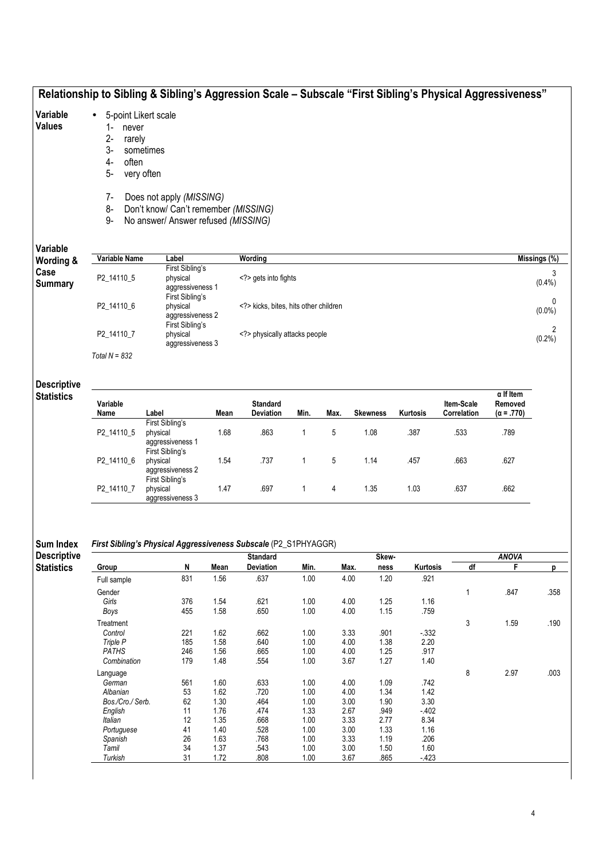|                                         |                                                                                           | Relationship to Sibling & Sibling's Aggression Scale - Subscale "First Sibling's Physical Aggressiveness" |              |                                   |              |              |                 |              |                           |                                                  |              |  |
|-----------------------------------------|-------------------------------------------------------------------------------------------|-----------------------------------------------------------------------------------------------------------|--------------|-----------------------------------|--------------|--------------|-----------------|--------------|---------------------------|--------------------------------------------------|--------------|--|
| Variable<br><b>Values</b>               | 5-point Likert scale<br>1-<br>never<br>$2 -$<br>rarely<br>$3-$<br>often<br>4-<br>5-<br>7- | sometimes<br>very often<br>Does not apply (MISSING)                                                       |              |                                   |              |              |                 |              |                           |                                                  |              |  |
|                                         | 8-<br>9-                                                                                  | Don't know/ Can't remember (MISSING)<br>No answer/ Answer refused (MISSING)                               |              |                                   |              |              |                 |              |                           |                                                  |              |  |
| Variable                                | Variable Name                                                                             | Label                                                                                                     |              | Wording                           |              |              |                 |              |                           |                                                  | Missings (%) |  |
| Wording &<br>Case<br><b>Summary</b>     | P2_14110_5                                                                                | First Sibling's<br>physical<br>aggressiveness 1                                                           |              | gets into fights                  |              |              |                 |              |                           |                                                  | 3<br>(0.4% ) |  |
|                                         | P2_14110_6                                                                                | First Sibling's<br>physical<br>aggressiveness 2                                                           |              | kicks, bites, hits other children |              |              |                 |              |                           |                                                  |              |  |
|                                         | P2_14110_7                                                                                | First Sibling's<br>physical<br>aggressiveness 3                                                           |              | physically attacks people         |              |              |                 |              |                           |                                                  | 2<br>(0.2%)  |  |
| <b>Descriptive</b>                      | Total $N = 832$                                                                           |                                                                                                           |              |                                   |              |              |                 |              |                           |                                                  |              |  |
| <b>Statistics</b>                       | Variable<br>Name                                                                          | Label                                                                                                     | Mean         | <b>Standard</b><br>Deviation      | Min.         | Max.         | <b>Skewness</b> | Kurtosis     | Item-Scale<br>Correlation | $\alpha$ If Item<br>Removed<br>$(\alpha = .770)$ |              |  |
|                                         | P2_14110_5                                                                                | First Sibling's<br>physical<br>aggressiveness 1<br>First Sibling's                                        | 1.68         | .863                              | $\mathbf{1}$ | 5            | 1.08            | .387         | .533                      | .789                                             |              |  |
|                                         | P2_14110_6                                                                                | physical<br>aggressiveness 2<br>First Sibling's                                                           | 1.54         | .737                              | 1            | 5            | 1.14            | .457         | .663                      | .627                                             |              |  |
|                                         | P2_14110_7                                                                                | physical<br>aggressiveness 3                                                                              | 1.47         | .697                              | 1            | 4            | 1.35            | 1.03         | .637                      | .662                                             |              |  |
| Sum Index                               |                                                                                           | First Sibling's Physical Aggressiveness Subscale (P2_S1PHYAGGR)                                           |              |                                   |              |              |                 |              |                           |                                                  |              |  |
| <b>Descriptive</b><br><b>Statistics</b> | Group                                                                                     | N                                                                                                         | Mean         | <b>Standard</b><br>Deviation      | Min.         | Max.         | Skew-<br>ness   | Kurtosis     | df                        | <b>ANOVA</b><br>F                                | р            |  |
|                                         | Full sample                                                                               | 831                                                                                                       | 1.56         | .637                              | 1.00         | 4.00         | 1.20            | .921         |                           |                                                  |              |  |
|                                         | Gender<br>Girls                                                                           | 376                                                                                                       | 1.54         | .621                              | 1.00         | 4.00         | 1.25            | 1.16         | $\mathbf{1}$              | .847                                             | .358         |  |
|                                         | Boys                                                                                      | 455                                                                                                       | 1.58         | .650                              | 1.00         | 4.00         | 1.15            | .759         |                           |                                                  |              |  |
|                                         | Treatment<br>Control                                                                      | 221                                                                                                       | 1.62         | .662                              | 1.00         | 3.33         | .901            | $-332$       | $\ensuremath{\mathsf{3}}$ | 1.59                                             | .190         |  |
|                                         | Triple P                                                                                  | 185                                                                                                       | 1.58         | .640                              | 1.00         | 4.00         | 1.38            | 2.20         |                           |                                                  |              |  |
|                                         | PATHS                                                                                     | 246                                                                                                       | 1.56         | .665                              | 1.00         | 4.00         | 1.25            | .917         |                           |                                                  |              |  |
|                                         | Combination                                                                               | 179                                                                                                       | 1.48         | .554                              | 1.00         | 3.67         | 1.27            | 1.40         |                           |                                                  |              |  |
|                                         | Language<br>German                                                                        | 561                                                                                                       | 1.60         | .633                              | 1.00         | 4.00         | 1.09            | .742         | 8                         | 2.97                                             | .003         |  |
|                                         | Albanian                                                                                  | 53                                                                                                        | 1.62         | .720                              | 1.00         | 4.00         | 1.34            | 1.42         |                           |                                                  |              |  |
|                                         | Bos./Cro./ Serb.                                                                          | 62                                                                                                        | 1.30         | .464                              | 1.00         | 3.00         | 1.90            | 3.30         |                           |                                                  |              |  |
|                                         | English                                                                                   | 11                                                                                                        | 1.76         | .474                              | 1.33         | 2.67         | .949            | $-402$       |                           |                                                  |              |  |
|                                         | Italian                                                                                   | 12                                                                                                        | 1.35         | .668                              | 1.00         | 3.33         | 2.77            | 8.34         |                           |                                                  |              |  |
|                                         | Portuguese<br>Spanish                                                                     | 41<br>26                                                                                                  | 1.40<br>1.63 | .528<br>.768                      | 1.00<br>1.00 | 3.00<br>3.33 | 1.33<br>1.19    | 1.16<br>.206 |                           |                                                  |              |  |
|                                         | Tamil                                                                                     | 34                                                                                                        | 1.37         | .543                              | 1.00         | 3.00         | 1.50            | 1.60         |                           |                                                  |              |  |
|                                         | Turkish                                                                                   | 31                                                                                                        | 1.72         | .808                              | 1.00         | 3.67         | .865            | $-423$       |                           |                                                  |              |  |